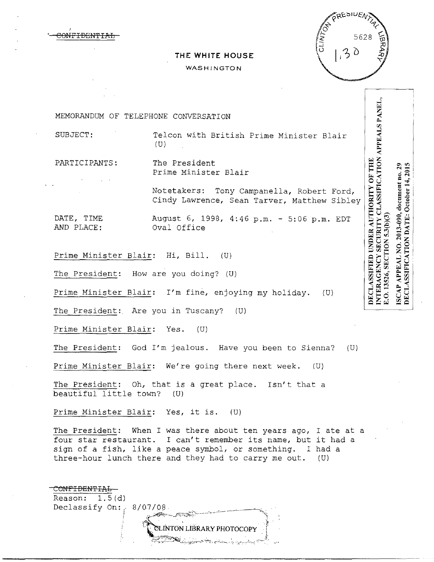**NFIDENTI** 

# **THE WHITE HOUSE**

#### WASHINGTON



| MEMORANDUM OF TELEPHONE CONVERSATION   |                                                                                          |                                                           |                                                            |
|----------------------------------------|------------------------------------------------------------------------------------------|-----------------------------------------------------------|------------------------------------------------------------|
| SUBJECT:                               | Telcon with British Prime Minister Blair<br>(U)                                          | APPEALS PANEL,                                            |                                                            |
| PARTICIPANTS:                          | The President<br>Prime Minister Blair                                                    | CATION<br><b>OF THE</b>                                   | зņ,<br>29<br>201                                           |
|                                        | Notetakers: Tony Campanella, Robert Ford,<br>Cindy Lawrence, Sean Tarver, Matthew Sibley | LASSIFI                                                   | October                                                    |
| DATE, TIME<br>AND PLACE:               | August 6, 1998, 4:46 p.m. - 5:06 p.m. EDT<br>Oval Office                                 | UNDER AUTHORITY<br>3.O. 13526, SECTION 5.3(b)(3<br>CURITY | ISCAP APPEAL NO. 2013-090, document no.<br>TE:<br>$\Delta$ |
| Prime Minister Blair: Hi, Bill. (U)    |                                                                                          |                                                           | TION<br>≺                                                  |
| The President: How are you doing? (U)  |                                                                                          |                                                           | <b>SSIFIC</b>                                              |
|                                        | Prime Minister Blair: I'm fine, enjoying my holiday. (U)                                 | DECLASSIFIED<br>NTERAGENCY                                | <b>DECLA</b>                                               |
| The President: Are you in Tuscany? (U) |                                                                                          |                                                           |                                                            |
| Prime Minister Blair: Yes.             | (U)                                                                                      |                                                           |                                                            |

The President: God I'm jealous. Have you been to Sienna? (U)

Prime Minister Blair: We're going there next week. (U)

The President: Oh, that is a great place. Isn't that a  $beautiful$  little town?  $(U)$ 

Prime Minister Blair: Yes, it is. (U)

The President: When I was there about ten years ago, I ate at a four star restaurant. I can't remember its name, but it had a sign of a fish, like a peace symbol, or something. I had a three-hour lunch there and they had to carry me out. (U)

| Reason: $1.5(d)$        |                           |
|-------------------------|---------------------------|
| Declassify On: 8/07/08. |                           |
|                         | <b>CONTRACTOR</b>         |
|                         | CLINTON LIBRARY PHOTOCOPY |
|                         |                           |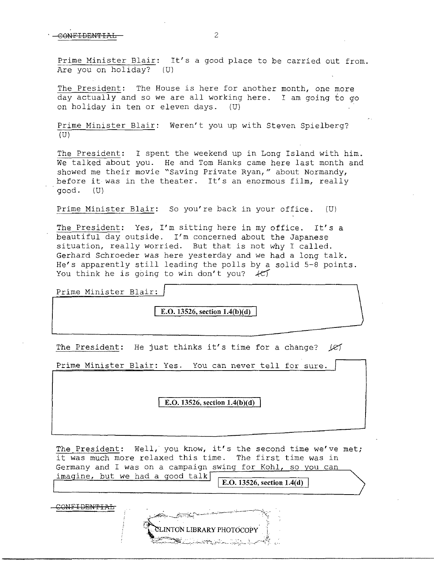$\overline{O}$ 

·

Prime Minister Blair: It's a good place to be carried out from. Are you on holiday? (U)

The President: The House is here for another month, one more day actually and so we are all working here. I am going to go on holiday in ten or eleven days. (U)

Prime Minister Blair: Weren't you up with Steven Spielberg? (U)

The President: I spent the weekend up in Long Island with him. We talked about you. He and Tom Hanks came here last month and showed me their movie "Saving Private Ryan," about Normandy, before it was in the theater. It's an enormous film, really good. (U)

Prime Minister Blair: So you' re back in your office. (U)

The President: Yes, I'm sitting here in my office. It's a beautiful day outside. I'm concerned about the Japanese situation, really worried. But that is not why I called. Gerhard Schroeder was here yesterday and we had a long talk. He's apparently still leading the polls by a solid 5-8 points. You think he is going to win don't you?  $\mathcal{H}$ 

Prime Minister Blair:

**E.O.** 13526, section 1.4(b)(d)

The President: He just thinks it's time for a change? *Je* 

Prime Minister Blair: Yes. You can never tell for sure.

**E.O. 13526, section 1.4(b)(d)** 

The President: Well, you know, it's the second time we've met; it was much more relaxed this time. The first time was in Germany and I was on a campaign swing for Kohl, so you can imagine, but we had a good talk

**INTON LIBRARY PHOTOCOPY** 

**E.O. 13526, section 1.4(d)** 

S<del>ONFIDENTIAL</del>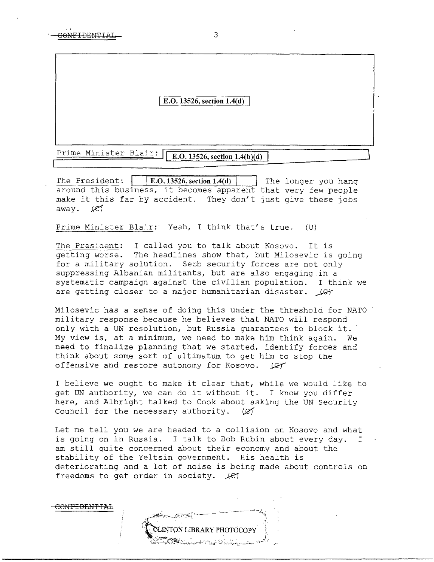I **E.O. 13526, section 1.4(d)** 

Prime Minister Blair: **E.O. 13526, section 1.4(b)(d)** 

The President:  $|$   $|$  **E.O. 13526, section 1.4(d)**  $|$  The longer you hang around this business, it becomes apparent that very few people make it this far by accident. They don't just give these jobs away.  $1e$ 

Prime Minister Blair: Yeah, I think that's true. (U}

The President: I called you to talk about Kosovo. It *is*  getting worse. The headlines show that, but Milosevic *is* going for a military solution. Serb security forces are not only suppressing Albanian militants, but are also engaging in a systematic campaign against the civilian population. I think we are getting closer to a major humanitarian disaster.  $\mathcal{L}$ 

Milosevic has a sense of doing this under the threshold for NATO military response because he believes that NATO will respond only with a UN resolution, but Russia guarantees to block it. My view is, at a minimum, we need to make him think again. We need to finalize planning that we started, identify forces and think about some sort of ultimatum to get him to stop the offensive and restore autonomy for Kosovo.  $\mathcal{L}$ 

I believe we ought to make it clear that, while we would like to get UN authority, we can do it without it. I know you differ here, and Albright talked to Cook about asking the UN Security Council for the necessary authority. ( $\varnothing$ )

Let me tell you we are headed to a collision on Kosovo and what is going on in Russia. I talk to Bob Rubin about every day. I am still quite concerned about their economy and about the stability of the Yeltsin government. His health is deteriorating and a lot of noise is being made about controls on freedoms to get order in society.  $\mathcal{L}$ 

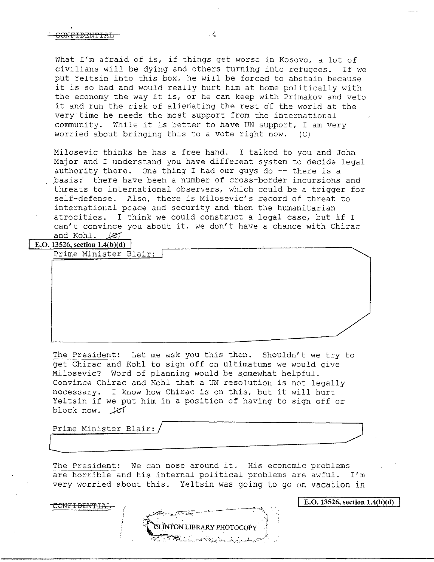What I'm afraid of is, if things get worse in Kosovo, a lot of civilians will be dying and others turning into refugees. If we put Yeltsin into this box, he will be forced to abstain because it is so bad and would really hurt him at home politically with the economy the way it is, or he can keep with Primakov and veto it and run the risk of alienating the rest of the world at the very time he needs the most support from the international community. While it is better to have UN support, I am very worried about bringing this to a vote right now. (C)

Milosevic thinks he has a free hand. I talked to you and John Major and I understand you have different system to decide legal authority there. One thing I had our guys do  $-$ - there is a basis: there have been a number of cross-border incursions and threats to international observers, which could be a trigger for self-defense. Also, there is Milosevic's record of threat to international peace and security and then the humanitarian atrocities. I think we could construct a legal case, but if I can't convince you about it, we don't have a chance with Chirac and  $Kohl.$   $Let$ 

**E.O. 13526, section 1.4(b)(d)** 

Prime Minister Blair:

The President: Let me ask you this then. Shouldn't we try to get Chirac and Kohl to sign off on ultimatums we would give Milosevic? Word of planning would be somewhat helpful. Convince Chirac and Kohl that a UN resolution is not legally necessary. I know how Chirac *is* on this, but it will hurt Yeltsin if we put him in a position of having to sign off or block now. *.J.e}* 

Prime Minister Blair:/ */)*  Prime Minister Biair:/

CONFIDEN'I'IAL

The President: We can nose around it. His economic problems are horrible and his internal political problems are awful. I'm very worried about this. Yeltsin was going to go on vacation in

I E.O. **13526, section l.4(b)(d)**

ON LIBRARY PHOTOCOPY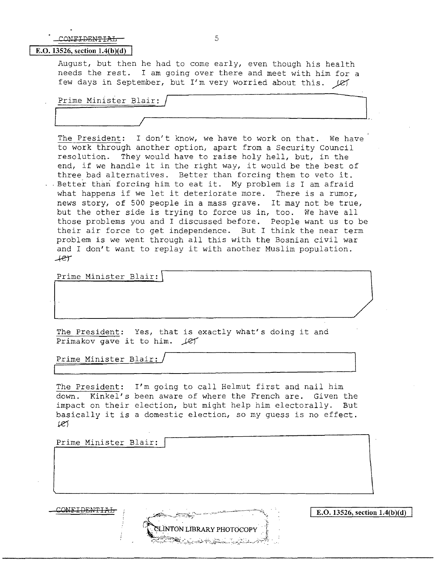## CONFIDENTIAL 5

### E.O. 13526, section 1.4(b)(d)

August, but then he had to come early, even though his health needs the rest. I am going over there and meet with him for a few days in September, but I'm very worried about this.  $\cancel{(2)}$ 

Prime Minister Blair: /

The President: I don't know, we have to work on that. We have to work through another option, apart from a Security council resolution. They would have to raise holy hell, but, in the end, if we handle it in the right way, it would be the best of three bad alternatives. Better than forcing them to veto it. . Better than forcing him to eat it. My problem is I am afraid what happens if we let it deteriorate more. There is a rumor, news story, of 500 people in a mass grave. It may not be true, but the other side is trying to force us in, too. We have all those problems you and I discussed before. People want us to be their air force to get independence. But I think the near term problem is we went through all this with the Bosnian civil war and I don't want to replay it with another Muslim population. *-+er* 

Prime Minister Blair:

The President: Yes, that is exactly what's doing it and Primakov gave it to him.  $\text{LET}$ 

Prime Minister Blair: /

The President: I'm going to call Helmut first and nail him down. Kinkel's been aware of where the French are. Given the impact on their election, but might help him electorally. But basically it is a domestic election, so my guess is no effect.  $127$ 

INTON LIBRARY PHOTOCOPY

Prime Minister Blair:

 $\overrightarrow{E.0.13526}$ , section 1.4(b)(d)

**l.**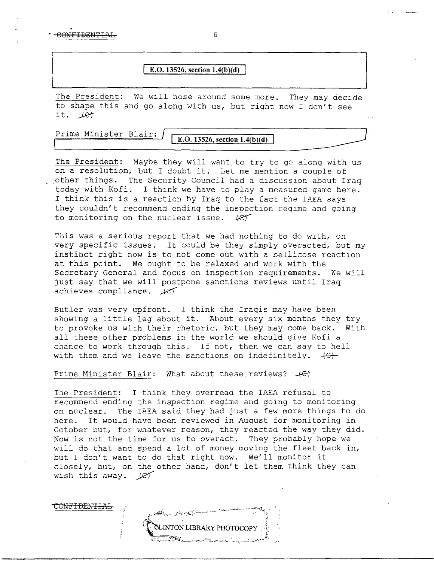$\overline{6}$ 

### **E.O. 13526, section 1.4(b)(d)**

The President: We will nose around some more. They may decide to shape this and go along with us, but right now I don't see  $it.$   $l$  $er$ 

Prime Minister Blair:

CONF<del>IDENTIA</del>I

 $E.D. 13526$ , section  $1.4(b)(d)$ 

The President: Maybe they will want to try to go along with us on a resolution, but I doubt it. Let me mention a couple of other things. The Security Council had a discussion about Iraq today with Kofi. I think we have to play a measured game here. I think this is a reaction by Iraq to the fact the IAEA says they couldn't recommend ending the inspection regime and going to monitoring on the nuclear issue. *\_µc)* 

This was a serious report that we had nothing to do with, on very specific issues. It could be they simply overacted, but my instinct right now is to not come out with a bellicose reaction at this point. We ought to be relaxed and work with the Secretary General and focus on inspection requirements. We will just say that we will postpone sanctions reviews until Iraq achieves compliance.  $\sqrt{e}$ 

Butler was very upfront. I think the Iraqis may have been showing a little leg about it. About every six months they try to provoke us with their rhetoric, but they may come back. With all these other problems in the world we should give Kofi a chance to work through this. If not, then we can say to hell with them and we leave the sanctions on indefinitely.  $+C$ -

Prime Minister Blair: What about these reviews?  $+C$ 

The President: I think they overread the IAEA refusal to recommend ending the inspection regime and going to monitoring on nuclear. The IAEA said they had just a few more things to do here. It would have been reviewed in August for monitoring in October but, for whatever reason, they reacted the way they did. Now is not the time for us to overact. They probably hope we will do that and spend a lot of money moving the fleet back in, but I don't want to do that right now. We'll monitor it closely, but, on the other hand, don't let them think they can wish this away.  $\text{Ler}$